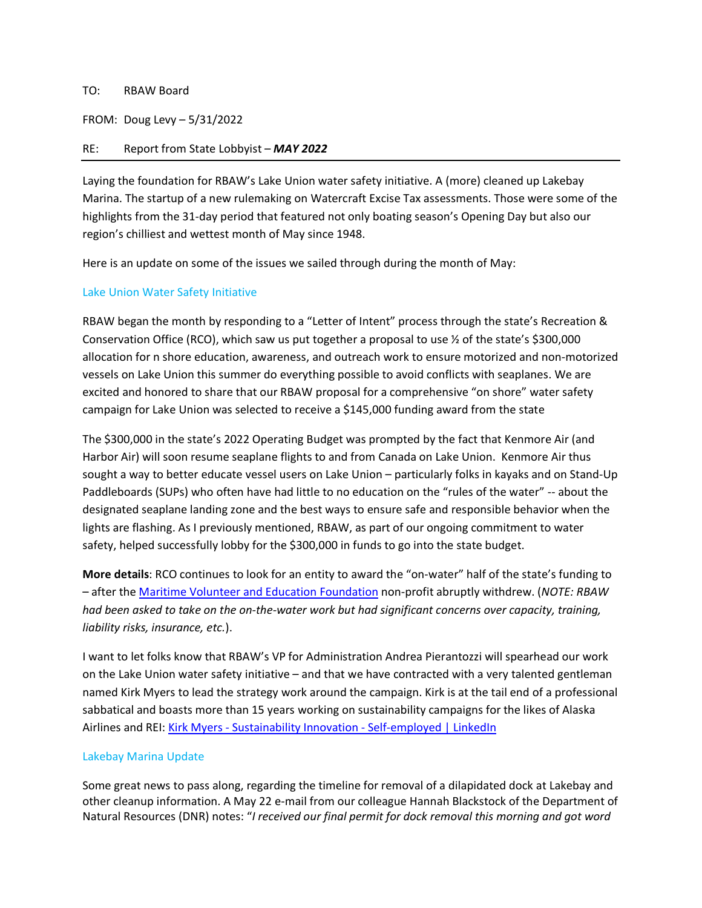#### TO: RBAW Board

FROM: Doug Levy – 5/31/2022

## RE: Report from State Lobbyist – *MAY 2022*

Laying the foundation for RBAW's Lake Union water safety initiative. A (more) cleaned up Lakebay Marina. The startup of a new rulemaking on Watercraft Excise Tax assessments. Those were some of the highlights from the 31-day period that featured not only boating season's Opening Day but also our region's chilliest and wettest month of May since 1948.

Here is an update on some of the issues we sailed through during the month of May:

# Lake Union Water Safety Initiative

RBAW began the month by responding to a "Letter of Intent" process through the state's Recreation & Conservation Office (RCO), which saw us put together a proposal to use  $\frac{1}{2}$  of the state's \$300,000 allocation for n shore education, awareness, and outreach work to ensure motorized and non-motorized vessels on Lake Union this summer do everything possible to avoid conflicts with seaplanes. We are excited and honored to share that our RBAW proposal for a comprehensive "on shore" water safety campaign for Lake Union was selected to receive a \$145,000 funding award from the state

The \$300,000 in the state's 2022 Operating Budget was prompted by the fact that Kenmore Air (and Harbor Air) will soon resume seaplane flights to and from Canada on Lake Union. Kenmore Air thus sought a way to better educate vessel users on Lake Union – particularly folks in kayaks and on Stand-Up Paddleboards (SUPs) who often have had little to no education on the "rules of the water" -- about the designated seaplane landing zone and the best ways to ensure safe and responsible behavior when the lights are flashing. As I previously mentioned, RBAW, as part of our ongoing commitment to water safety, helped successfully lobby for the \$300,000 in funds to go into the state budget.

**More details**: RCO continues to look for an entity to award the "on-water" half of the state's funding to – after the [Maritime Volunteer and Education Foundation n](https://www.maritimevolunteerfoundation.org/)on-profit abruptly withdrew. (*NOTE: RBAW had been asked to take on the on-the-water work but had significant concerns over capacity, training, liability risks, insurance, etc.*).

I want to let folks know that RBAW's VP for Administration Andrea Pierantozzi will spearhead our work on the Lake Union water safety initiative – and that we have contracted with a very talented gentleman named Kirk Myers to lead the strategy work around the campaign. Kirk is at the tail end of a professional sabbatical and boasts more than 15 years working on sustainability campaigns for the likes of Alaska Airlines and REI[: Kirk Myers - Sustainability Innovation - Self-employed | LinkedIn](https://www.linkedin.com/in/myerskirk)

# Lakebay Marina Update

Some great news to pass along, regarding the timeline for removal of a dilapidated dock at Lakebay and other cleanup information. A May 22 e-mail from our colleague Hannah Blackstock of the Department of Natural Resources (DNR) notes: "*I received our final permit for dock removal this morning and got word*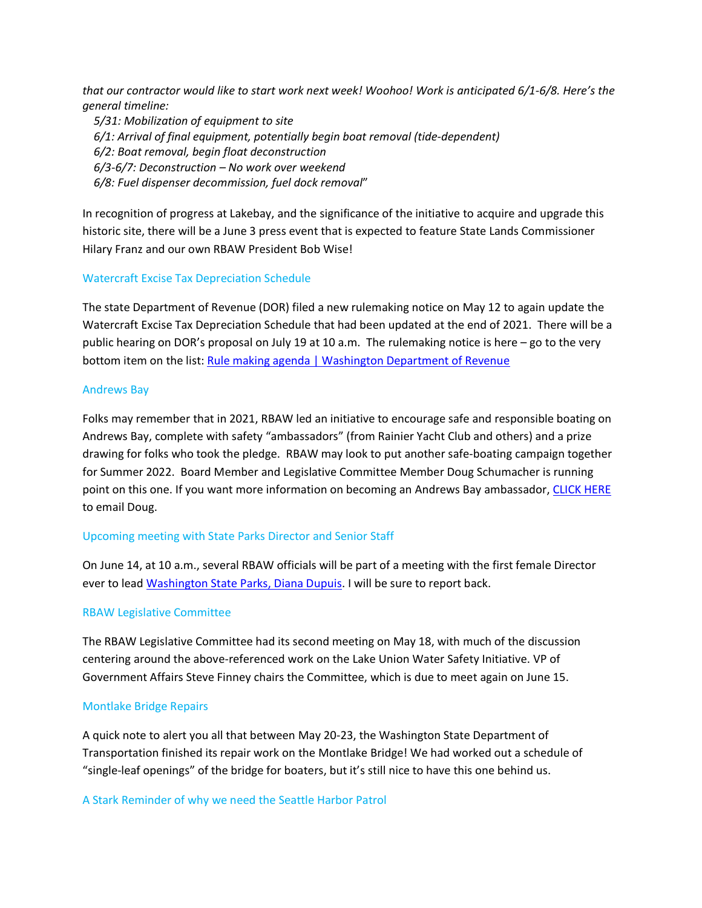*that our contractor would like to start work next week! Woohoo! Work is anticipated 6/1-6/8. Here's the general timeline:*

 *5/31: Mobilization of equipment to site 6/1: Arrival of final equipment, potentially begin boat removal (tide-dependent) 6/2: Boat removal, begin float deconstruction 6/3-6/7: Deconstruction – No work over weekend 6/8: Fuel dispenser decommission, fuel dock removal*"

In recognition of progress at Lakebay, and the significance of the initiative to acquire and upgrade this historic site, there will be a June 3 press event that is expected to feature State Lands Commissioner Hilary Franz and our own RBAW President Bob Wise!

# Watercraft Excise Tax Depreciation Schedule

The state Department of Revenue (DOR) filed a new rulemaking notice on May 12 to again update the Watercraft Excise Tax Depreciation Schedule that had been updated at the end of 2021. There will be a public hearing on DOR's proposal on July 19 at 10 a.m. The rulemaking notice is here – go to the very bottom item on the list: [Rule making agenda | Washington Department of Revenue](https://dor.wa.gov/laws-rules/rule-making-agenda)

## Andrews Bay

Folks may remember that in 2021, RBAW led an initiative to encourage safe and responsible boating on Andrews Bay, complete with safety "ambassadors" (from Rainier Yacht Club and others) and a prize drawing for folks who took the pledge. RBAW may look to put another safe-boating campaign together for Summer 2022. Board Member and Legislative Committee Member Doug Schumacher is running point on this one. If you want more information on becoming an Andrews Bay ambassador, [CLICK HERE](mailto:posford@comcast.net) to email Doug.

# Upcoming meeting with State Parks Director and Senior Staff

On June 14, at 10 a.m., several RBAW officials will be part of a meeting with the first female Director ever to lead [Washington State Parks, Diana Dupuis.](https://www.parks.wa.gov/CivicAlerts.aspx?AID=779) I will be sure to report back.

# RBAW Legislative Committee

The RBAW Legislative Committee had its second meeting on May 18, with much of the discussion centering around the above-referenced work on the Lake Union Water Safety Initiative. VP of Government Affairs Steve Finney chairs the Committee, which is due to meet again on June 15.

### Montlake Bridge Repairs

A quick note to alert you all that between May 20-23, the Washington State Department of Transportation finished its repair work on the Montlake Bridge! We had worked out a schedule of "single-leaf openings" of the bridge for boaters, but it's still nice to have this one behind us.

### A Stark Reminder of why we need the Seattle Harbor Patrol